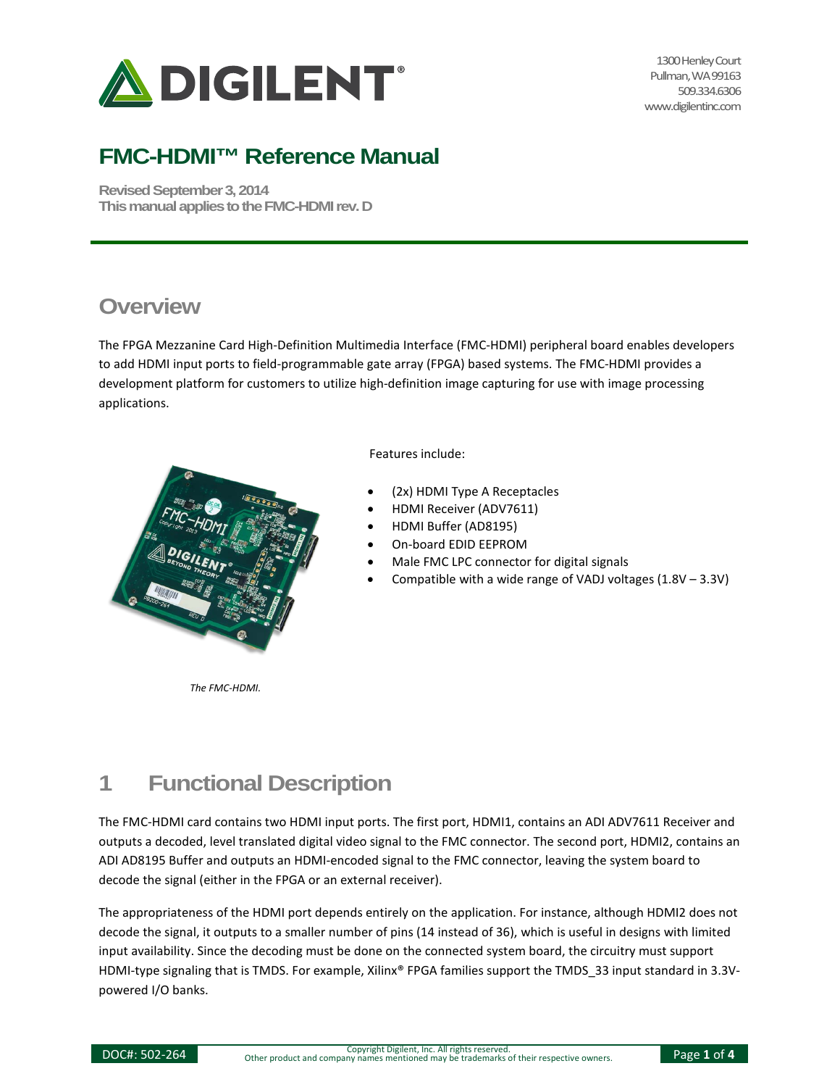

1300 Henley Court Pullman, WA 99163 509.334.6306 www.digilentinc.com

# **FMC-HDMI™ Reference Manual**

**Revised September 3, 2014 This manual applies to the FMC-HDMI rev. D** 

## **Overview**

The FPGA Mezzanine Card High-Definition Multimedia Interface (FMC-HDMI) peripheral board enables developers to add HDMI input ports to field-programmable gate array (FPGA) based systems. The FMC-HDMI provides a development platform for customers to utilize high-definition image capturing for use with image processing applications.



Features include:

- (2x) HDMI Type A Receptacles
- HDMI Receiver (ADV7611)
- HDMI Buffer (AD8195)
- On-board EDID EEPROM
- Male FMC LPC connector for digital signals
- Compatible with a wide range of VADJ voltages  $(1.8V 3.3V)$

*The FMC-HDMI.* 

# **1 Functional Description**

The FMC-HDMI card contains two HDMI input ports. The first port, HDMI1, contains an ADI ADV7611 Receiver and outputs a decoded, level translated digital video signal to the FMC connector. The second port, HDMI2, contains an ADI AD8195 Buffer and outputs an HDMI-encoded signal to the FMC connector, leaving the system board to decode the signal (either in the FPGA or an external receiver).

The appropriateness of the HDMI port depends entirely on the application. For instance, although HDMI2 does not decode the signal, it outputs to a smaller number of pins (14 instead of 36), which is useful in designs with limited input availability. Since the decoding must be done on the connected system board, the circuitry must support HDMI-type signaling that is TMDS. For example, Xilinx® FPGA families support the TMDS\_33 input standard in 3.3Vpowered I/O banks.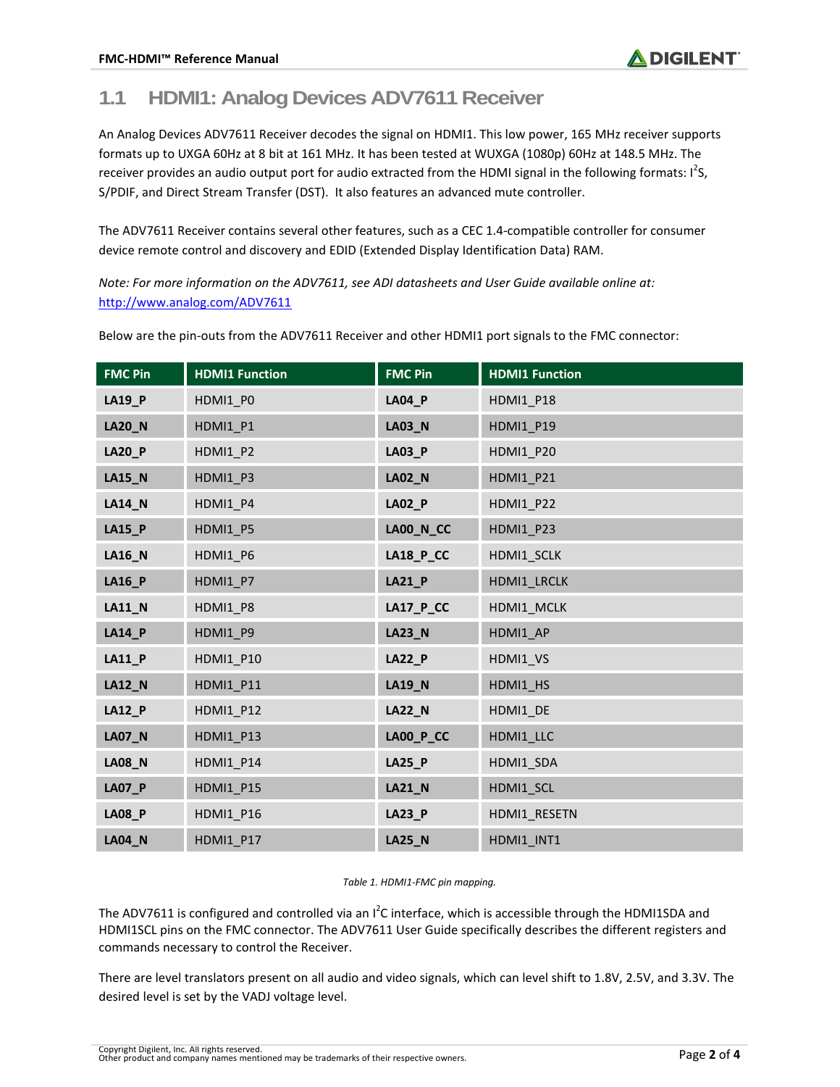#### **1.1 HDMI1: Analog Devices ADV7611 Receiver**

An Analog Devices ADV7611 Receiver decodes the signal on HDMI1. This low power, 165 MHz receiver supports formats up to UXGA 60Hz at 8 bit at 161 MHz. It has been tested at WUXGA (1080p) 60Hz at 148.5 MHz. The receiver provides an audio output port for audio extracted from the HDMI signal in the following formats: I<sup>2</sup>S, S/PDIF, and Direct Stream Transfer (DST). It also features an advanced mute controller.

The ADV7611 Receiver contains several other features, such as a CEC 1.4-compatible controller for consumer device remote control and discovery and EDID (Extended Display Identification Data) RAM.

*Note: For more information on the ADV7611, see ADI datasheets and User Guide available online at:*  <http://www.analog.com/ADV7611>

| <b>FMC Pin</b> | <b>HDMI1 Function</b> | <b>FMC Pin</b>   | <b>HDMI1 Function</b> |
|----------------|-----------------------|------------------|-----------------------|
| LA19_P         | HDMI1_P0              | <b>LA04_P</b>    | HDMI1_P18             |
| <b>LA20_N</b>  | HDMI1_P1              | <b>LA03_N</b>    | HDMI1_P19             |
| <b>LA20_P</b>  | HDMI1 P2              | LA03_P           | <b>HDMI1 P20</b>      |
| <b>LA15_N</b>  | HDMI1 P3              | <b>LA02_N</b>    | HDMI1_P21             |
| <b>LA14_N</b>  | HDMI1 P4              | <b>LA02_P</b>    | HDMI1_P22             |
| LA15_P         | HDMI1_P5              | LA00_N_CC        | <b>HDMI1_P23</b>      |
| <b>LA16_N</b>  | HDMI1_P6              | LA18_P_CC        | HDMI1_SCLK            |
| LA16_P         | HDMI1_P7              | LA21_P           | HDMI1_LRCLK           |
| <b>LA11_N</b>  | HDMI1_P8              | LA17_P_CC        | HDMI1_MCLK            |
| <b>LA14_P</b>  | <b>HDMI1_P9</b>       | <b>LA23_N</b>    | HDMI1_AP              |
| LA11_P         | HDMI1_P10             | LA22_P           | HDMI1_VS              |
| <b>LA12_N</b>  | HDMI1_P11             | <b>LA19_N</b>    | HDMI1_HS              |
| LA12_P         | HDMI1_P12             | <b>LA22_N</b>    | HDMI1_DE              |
| <b>LA07_N</b>  | HDMI1_P13             | <b>LA00_P_CC</b> | HDMI1_LLC             |
| <b>LA08_N</b>  | HDMI1_P14             | LA25_P           | HDMI1_SDA             |
| <b>LA07_P</b>  | <b>HDMI1_P15</b>      | <b>LA21_N</b>    | HDMI1_SCL             |
| <b>LA08_P</b>  | HDMI1 P16             | LA23_P           | HDMI1 RESETN          |
| <b>LA04 N</b>  | <b>HDMI1 P17</b>      | <b>LA25 N</b>    | HDMI1 INT1            |

Below are the pin-outs from the ADV7611 Receiver and other HDMI1 port signals to the FMC connector:

#### *Table 1. HDMI1-FMC pin mapping.*

The ADV7611 is configured and controlled via an  $I^2C$  interface, which is accessible through the HDMI1SDA and HDMI1SCL pins on the FMC connector. The ADV7611 User Guide specifically describes the different registers and commands necessary to control the Receiver.

There are level translators present on all audio and video signals, which can level shift to 1.8V, 2.5V, and 3.3V. The desired level is set by the VADJ voltage level.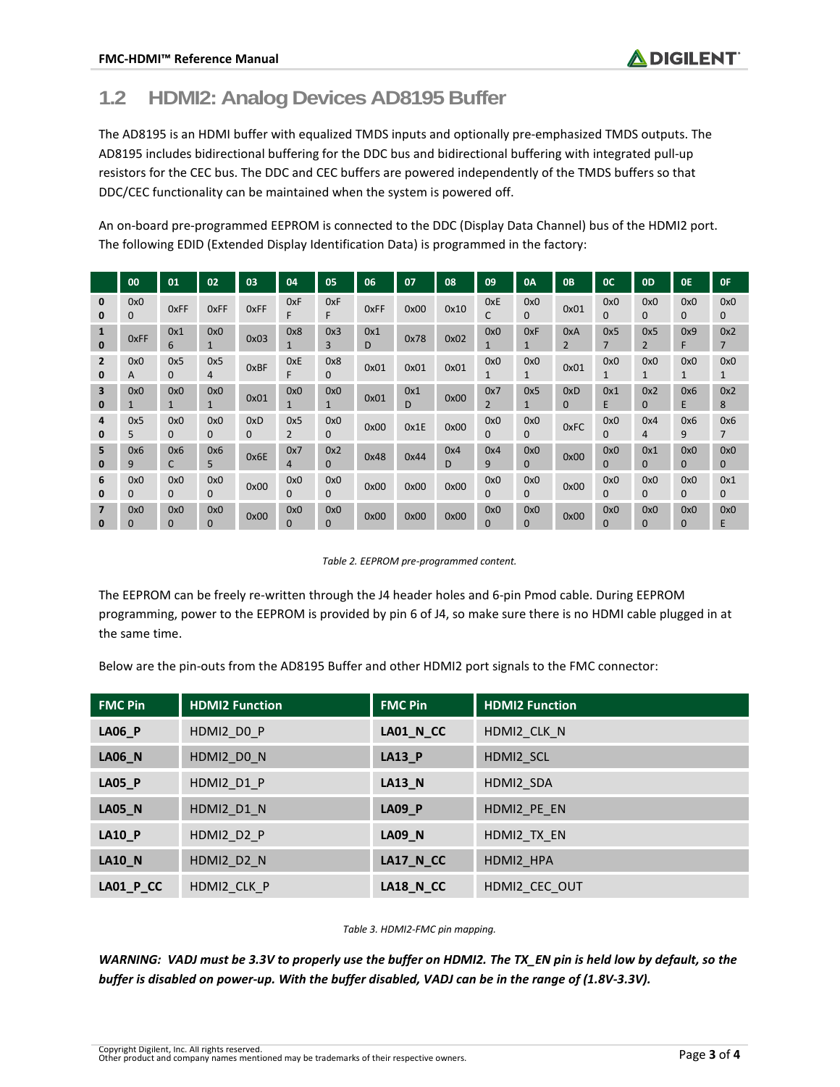## **1.2 HDMI2: Analog Devices AD8195 Buffer**

The AD8195 is an HDMI buffer with equalized TMDS inputs and optionally pre-emphasized TMDS outputs. The AD8195 includes bidirectional buffering for the DDC bus and bidirectional buffering with integrated pull-up resistors for the CEC bus. The DDC and CEC buffers are powered independently of the TMDS buffers so that DDC/CEC functionality can be maintained when the system is powered off.

An on-board pre-programmed EEPROM is connected to the DDC (Display Data Channel) bus of the HDMI2 port. The following EDID (Extended Display Identification Data) is programmed in the factory:

|                                     | 00                  | 01                  | 02                  | 03                  | 04                    | 05                  | 06       | 07       | 08       | 09                    | 0A                  | 0B       | <sub>0C</sub>       | <b>OD</b>             | <b>OE</b>           | <b>OF</b>             |
|-------------------------------------|---------------------|---------------------|---------------------|---------------------|-----------------------|---------------------|----------|----------|----------|-----------------------|---------------------|----------|---------------------|-----------------------|---------------------|-----------------------|
| 0<br>0                              | 0x0<br>$\mathbf{0}$ | 0xFF                | 0xFF                | <b>OxFF</b>         | 0xF<br>F.             | 0xF<br>F            | 0xFF     | 0x00     | 0x10     | 0xE<br>C              | 0x0<br>$\mathbf{0}$ | 0x01     | 0x0<br>$\mathbf{0}$ | 0x0<br>$\mathbf{0}$   | 0x0<br>$\mathbf{0}$ | 0x0<br>$\mathbf 0$    |
| $\mathbf 0$                         | 0xFF                | 0x1<br>6            | 0x0<br>$\mathbf{1}$ | 0x03                | 0x8<br>$\mathbf{1}$   | 0x3<br>3            | 0x1<br>D | 0x78     | 0x02     | 0x0                   | 0xF<br>$\mathbf{1}$ | 0xA<br>2 | 0x5<br>7            | 0x5<br>$\overline{2}$ | 0x9<br>F            | 0x2<br>$7^{\circ}$    |
| $\overline{2}$<br>0                 | 0x0<br>Α            | 0x5<br>$\mathbf{0}$ | 0x5<br>4            | 0xBF                | 0xE<br>F              | 0x8<br>$\Omega$     | 0x01     | 0x01     | 0x01     | 0x0<br>$\mathbf{1}$   | 0x0<br>$\mathbf{1}$ | 0x01     | 0x0<br>$\mathbf{1}$ | 0x0<br>$\mathbf{1}$   | 0x0<br>$\mathbf{1}$ | 0x0<br>$\mathbf{1}$   |
| $\overline{\mathbf{3}}$<br>$\bf{0}$ | 0x0<br>$\mathbf{1}$ | 0x0                 | 0x0<br>$\mathbf{1}$ | 0x01                | 0x0<br>$\mathbf{1}$   | 0x0<br>$\mathbf{1}$ | 0x01     | 0x1<br>D | 0x00     | 0x7<br>$\overline{2}$ | 0x5<br>$\mathbf{1}$ | 0xD<br>0 | 0x1<br>E            | 0x2<br>0              | 0x6<br>E.           | 0x2<br>8              |
| 4<br>0                              | 0x5<br>5            | 0x0<br>0            | 0x0<br>$\mathbf{0}$ | 0xD<br>$\mathbf{0}$ | 0x5<br>$\overline{2}$ | 0x0<br>$\mathbf{0}$ | 0x00     | 0x1E     | 0x00     | 0x0<br>$\mathbf{0}$   | 0x0<br>$\mathbf{0}$ | 0xFC     | 0x0<br>$\mathbf{0}$ | 0x4<br>4              | 0x6<br>9            | 0x6<br>$\overline{7}$ |
| 5<br>0                              | 0x6<br>9            | 0x6<br>C            | 0x6<br>5            | 0x6E                | 0x7<br>4              | 0x2<br>$\mathbf{0}$ | 0x48     | 0x44     | 0x4<br>D | 0x4<br>9              | 0x0<br>$\mathbf{0}$ | 0x00     | 0x0<br>$\mathbf{0}$ | 0x1<br>$\mathbf{0}$   | 0x0<br>$\mathbf{0}$ | 0x0<br>$\mathbf{0}$   |
| 6<br>0                              | 0x0<br>$\Omega$     | 0x0<br>$\Omega$     | 0x0<br>$\Omega$     | 0x00                | 0x0<br>$\Omega$       | 0x0<br>$\Omega$     | 0x00     | 0x00     | 0x00     | 0x0<br>$\Omega$       | 0x0<br>$\Omega$     | 0x00     | 0x0<br>$\Omega$     | 0x0<br>$\Omega$       | 0x0<br>$\Omega$     | 0x1<br>$\mathbf{0}$   |
| $\overline{7}$<br>0                 | 0x0<br>$\mathbf{0}$ | 0x0<br>$\Omega$     | 0x0<br>$\Omega$     | 0x00                | 0x0<br>$\Omega$       | 0x0<br>$\Omega$     | 0x00     | 0x00     | 0x00     | 0x0<br>$\Omega$       | 0x0<br>$\Omega$     | 0x00     | 0x0<br>$\Omega$     | 0x0<br>$\Omega$       | 0x0<br>$\mathbf{0}$ | 0x0<br>E.             |

*Table 2. EEPROM pre-programmed content.* 

The EEPROM can be freely re-written through the J4 header holes and 6-pin Pmod cable. During EEPROM programming, power to the EEPROM is provided by pin 6 of J4, so make sure there is no HDMI cable plugged in at the same time.

Below are the pin-outs from the AD8195 Buffer and other HDMI2 port signals to the FMC connector:

| <b>FMC Pin</b> | <b>HDMI2 Function</b> | <b>FMC Pin</b>      | <b>HDMI2 Function</b> |
|----------------|-----------------------|---------------------|-----------------------|
| $LA06_P$       | HDMI2 DO P            | LA01_N_CC           | HDMI2 CLK N           |
| <b>LA06_N</b>  | HDMI2 DO N            | $LA13$ <sup>P</sup> | HDMI2 SCL             |
| $LA05_P$       | HDMI2 D1 P            | $LA13$ <sub>N</sub> | HDMI2 SDA             |
| <b>LA05_N</b>  | HDMI2 D1 N            | LA09_P              | HDMI2 PE EN           |
| <b>LA10_P</b>  | HDMI2 D2 P            | <b>LA09_N</b>       | HDMI2 TX EN           |
| <b>LA10_N</b>  | HDMI2_D2_N            | <b>LA17_N_CC</b>    | HDMI2 HPA             |
| $LA01_P$ CC    | HDMI2 CLK P           | <b>LA18_N_CC</b>    | HDMI2_CEC_OUT         |

*Table 3. HDMI2-FMC pin mapping.*

*WARNING: VADJ must be 3.3V to properly use the buffer on HDMI2. The TX\_EN pin is held low by default, so the buffer is disabled on power-up. With the buffer disabled, VADJ can be in the range of (1.8V-3.3V).*